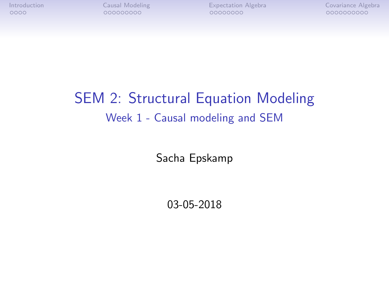# SEM 2: Structural Equation Modeling Week 1 - Causal modeling and SEM

Sacha Epskamp

03-05-2018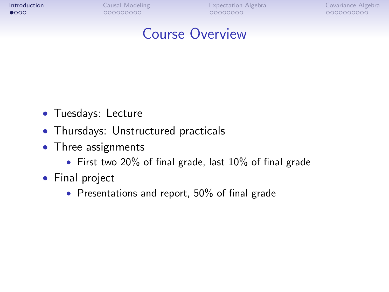<span id="page-1-0"></span>

## Course Overview

- Tuesdays: Lecture
- Thursdays: Unstructured practicals
- Three assignments
	- First two 20% of final grade, last 10% of final grade
- Final project
	- Presentations and report, 50% of final grade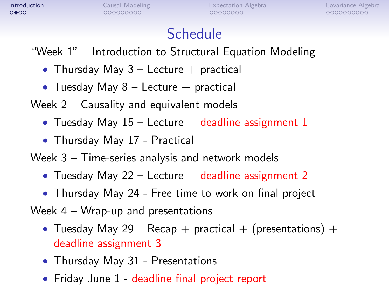# **Schedule**

"Week 1" – Introduction to Structural Equation Modeling

- Thursday May  $3$  Lecture  $+$  practical
- Tuesday May  $8$  Lecture  $+$  practical

Week 2 – Causality and equivalent models

- Tuesday May  $15$  Lecture  $+$  deadline assignment 1
- Thursday May 17 Practical

Week 3 – Time-series analysis and network models

- Tuesday May 22 Lecture  $+$  deadline assignment 2
- Thursday May 24 Free time to work on final project

Week 4 – Wrap-up and presentations

- Tuesday May 29 Recap + practical + (presentations) + deadline assignment 3
- Thursday May 31 Presentations
- Friday June 1 deadline final project report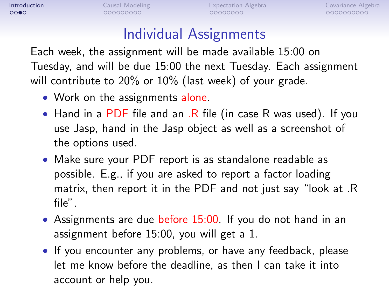## Individual Assignments

Each week, the assignment will be made available 15:00 on Tuesday, and will be due 15:00 the next Tuesday. Each assignment will contribute to 20% or 10% (last week) of your grade.

- Work on the assignments alone.
- Hand in a PDF file and an . R file (in case R was used). If you use Jasp, hand in the Jasp object as well as a screenshot of the options used.
- Make sure your PDF report is as standalone readable as possible. E.g., if you are asked to report a factor loading matrix, then report it in the PDF and not just say "look at .R file".
- Assignments are due before 15:00. If you do not hand in an assignment before 15:00, you will get a 1.
- If you encounter any problems, or have any feedback, please let me know before the deadline, as then I can take it into account or help you.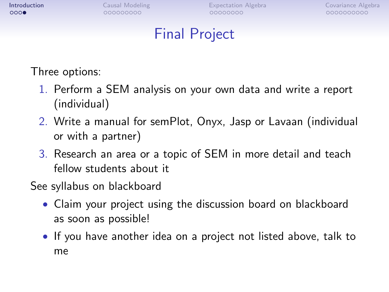# Final Project

Three options:

- 1. Perform a SEM analysis on your own data and write a report (individual)
- 2. Write a manual for semPlot, Onyx, Jasp or Lavaan (individual or with a partner)
- 3. Research an area or a topic of SEM in more detail and teach fellow students about it

See syllabus on blackboard

- Claim your project using the discussion board on blackboard as soon as possible!
- If you have another idea on a project not listed above, talk to me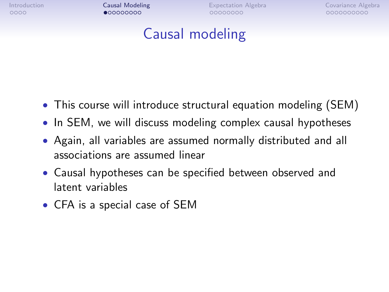<span id="page-5-0"></span>

## Causal modeling

- This course will introduce structural equation modeling (SEM)
- In SEM, we will discuss modeling complex causal hypotheses
- Again, all variables are assumed normally distributed and all associations are assumed linear
- Causal hypotheses can be specified between observed and latent variables
- CFA is a special case of SEM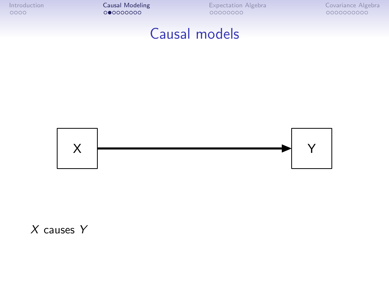## Causal models



 $X$  causes  $Y$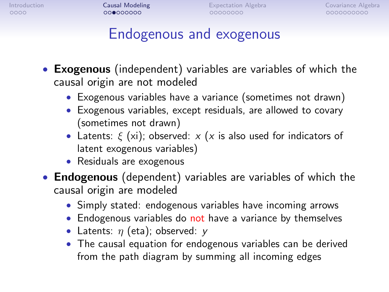# Endogenous and exogenous

- **Exogenous** (independent) variables are variables of which the causal origin are not modeled
	- Exogenous variables have a variance (sometimes not drawn)
	- Exogenous variables, except residuals, are allowed to covary (sometimes not drawn)
	- Latents:  $\xi$  (xi); observed: x (x is also used for indicators of latent exogenous variables)
	- Residuals are exogenous
- **Endogenous** (dependent) variables are variables of which the causal origin are modeled
	- Simply stated: endogenous variables have incoming arrows
	- Endogenous variables do not have a variance by themselves
	- Latents:  $\eta$  (eta); observed:  $\nu$
	- The causal equation for endogenous variables can be derived from the path diagram by summing all incoming edges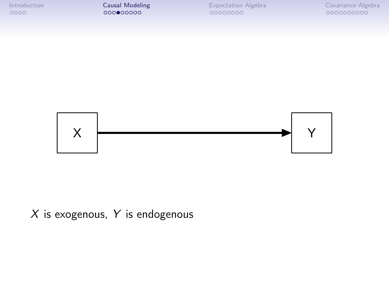



#### $X$  is exogenous,  $Y$  is endogenous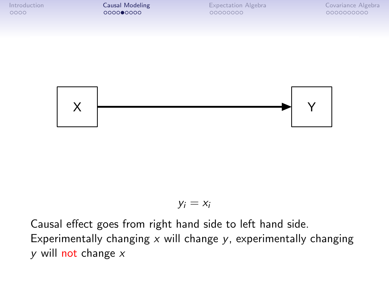

#### $y_i = x_i$

Causal effect goes from right hand side to left hand side. Experimentally changing  $x$  will change  $y$ , experimentally changing  $v$  will not change  $x$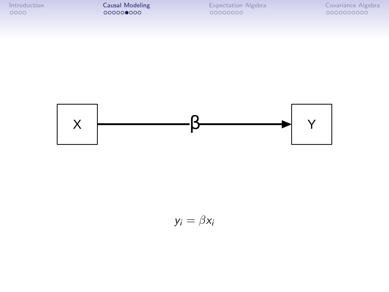[Introduction](#page-1-0) **[Causal Modeling](#page-5-0)** [Expectation Algebra](#page-14-0) [Covariance Algebra](#page-24-0) Covariance Algebra Covariance Algebra Covariance Algebra Covariance Algebra Covariance Algebra Covariance Algebra Covariance Covariance Covariance Covar



 $y_i = \beta x_i$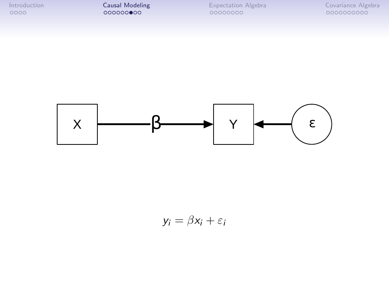[Introduction](#page-1-0) **[Causal Modeling](#page-5-0)** [Expectation Algebra](#page-14-0) [Covariance Algebra](#page-24-0) Covariance Algebra Covariance Algebra Covariance Algebra Covariance Algebra Covariance Algebra Covariance Algebra Covariance Covariance Covariance Covar



$$
y_i = \beta x_i + \varepsilon_i
$$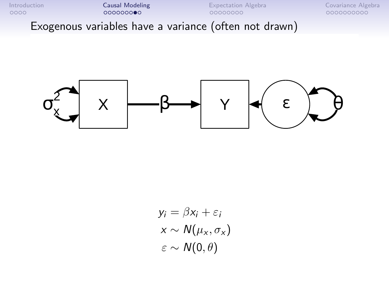[Introduction](#page-1-0) [Causal Modeling](#page-5-0) [Expectation Algebra](#page-14-0) [Covariance Algebra](#page-24-0) Exogenous variables have a variance (often not drawn)



$$
y_i = \beta x_i + \varepsilon_i
$$
  
\n
$$
x \sim N(\mu_x, \sigma_x)
$$
  
\n
$$
\varepsilon \sim N(0, \theta)
$$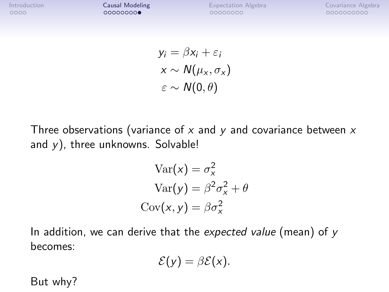$$
y_i = \beta x_i + \varepsilon_i
$$
  
\n
$$
x \sim N(\mu_x, \sigma_x)
$$
  
\n
$$
\varepsilon \sim N(0, \theta)
$$

Three observations (variance of  $x$  and  $y$  and covariance between  $x$ and  $y$ ), three unknowns. Solvable!

$$
Var(x) = \sigma_x^2
$$
  
 
$$
Var(y) = \beta^2 \sigma_x^2 + \theta
$$
  
 
$$
Cov(x, y) = \beta \sigma_x^2
$$

In addition, we can derive that the expected value (mean) of  $y$ becomes:

$$
\mathcal{E}(y)=\beta\mathcal{E}(x).
$$

But why?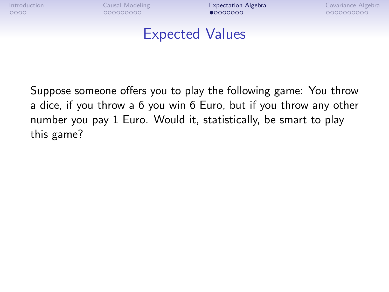<span id="page-14-0"></span>

## Expected Values

Suppose someone offers you to play the following game: You throw a dice, if you throw a 6 you win 6 Euro, but if you throw any other number you pay 1 Euro. Would it, statistically, be smart to play this game?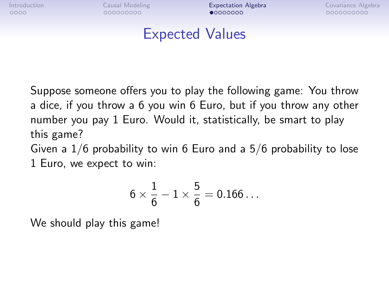## Expected Values

Suppose someone offers you to play the following game: You throw a dice, if you throw a 6 you win 6 Euro, but if you throw any other number you pay 1 Euro. Would it, statistically, be smart to play this game?

Given a 1/6 probability to win 6 Euro and a 5/6 probability to lose 1 Euro, we expect to win:

$$
6\times\frac{1}{6}-1\times\frac{5}{6}=0.166\ldots
$$

We should play this game!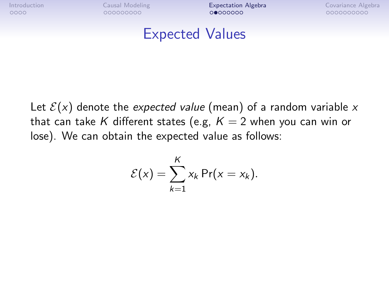### Expected Values

Let  $\mathcal{E}(x)$  denote the expected value (mean) of a random variable x that can take K different states (e.g,  $K = 2$  when you can win or lose). We can obtain the expected value as follows:

$$
\mathcal{E}(x) = \sum_{k=1}^K x_k \Pr(x = x_k).
$$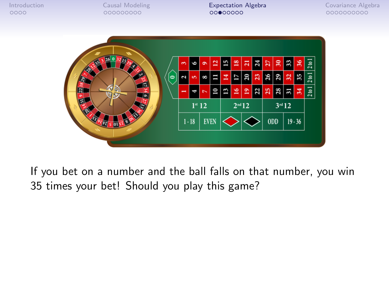

If you bet on a number and the ball falls on that number, you win 35 times your bet! Should you play this game?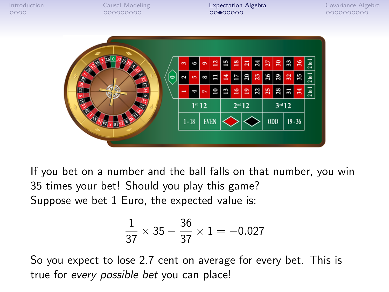

If you bet on a number and the ball falls on that number, you win 35 times your bet! Should you play this game? Suppose we bet 1 Euro, the expected value is:

$$
\frac{1}{37} \times 35 - \frac{36}{37} \times 1 = -0.027
$$

So you expect to lose 2.7 cent on average for every bet. This is true for every possible bet you can place!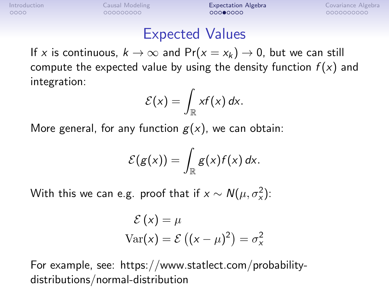### Expected Values

If x is continuous,  $k \to \infty$  and  $Pr(x = x_k) \to 0$ , but we can still compute the expected value by using the density function  $f(x)$  and integration:

$$
\mathcal{E}(x) = \int_{\mathbb{R}} xf(x) dx.
$$

More general, for any function  $g(x)$ , we can obtain:

$$
\mathcal{E}(g(x))=\int_{\mathbb{R}}g(x)f(x)\,dx.
$$

With this we can e.g. proof that if  $x \sim \mathcal{N}(\mu, \sigma_x^2)$ :

$$
\mathcal{E}(x) = \mu
$$
  
Var(x) = 
$$
\mathcal{E}((x - \mu)^2) = \sigma_x^2
$$

For example, see: https://www.statlect.com/probabilitydistributions/normal-distribution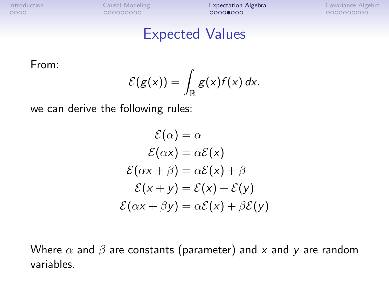#### Expected Values

From:

$$
\mathcal{E}(g(x))=\int_{\mathbb{R}}g(x)f(x)\,dx.
$$

we can derive the following rules:

$$
\mathcal{E}(\alpha) = \alpha
$$
  
\n
$$
\mathcal{E}(\alpha x) = \alpha \mathcal{E}(x)
$$
  
\n
$$
\mathcal{E}(\alpha x + \beta) = \alpha \mathcal{E}(x) + \beta
$$
  
\n
$$
\mathcal{E}(x + y) = \mathcal{E}(x) + \mathcal{E}(y)
$$
  
\n
$$
\mathcal{E}(\alpha x + \beta y) = \alpha \mathcal{E}(x) + \beta \mathcal{E}(y)
$$

Where  $\alpha$  and  $\beta$  are constants (parameter) and x and y are random variables.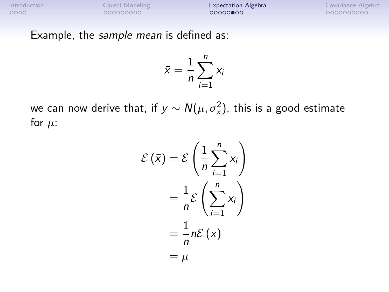Example, the sample mean is defined as:

$$
\bar{x} = \frac{1}{n} \sum_{i=1}^{n} x_i
$$

we can now derive that, if  $\mathsf{y}\sim \mathcal{N}(\mu,\sigma_{\mathsf{x}}^2)$ , this is a good estimate for  $\mu$ :

$$
\mathcal{E}(\bar{x}) = \mathcal{E}\left(\frac{1}{n}\sum_{i=1}^{n} x_i\right)
$$

$$
= \frac{1}{n}\mathcal{E}\left(\sum_{i=1}^{n} x_i\right)
$$

$$
= \frac{1}{n}n\mathcal{E}(x)
$$

$$
= \mu
$$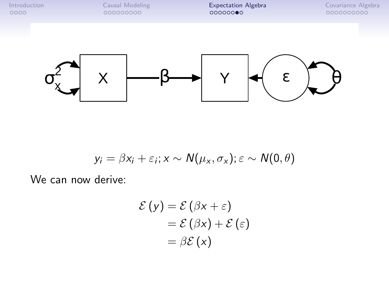

$$
y_i = \beta x_i + \varepsilon_i; x \sim N(\mu_x, \sigma_x); \varepsilon \sim N(0, \theta)
$$

We can now derive:

$$
\mathcal{E}(y) = \mathcal{E}(\beta x + \varepsilon)
$$
  
= 
$$
\mathcal{E}(\beta x) + \mathcal{E}(\varepsilon)
$$
  
= 
$$
\beta \mathcal{E}(x)
$$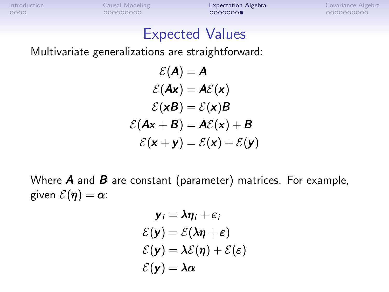## Expected Values

Multivariate generalizations are straightforward:

$$
\mathcal{E}(\mathbf{A}) = \mathbf{A}
$$
  
\n
$$
\mathcal{E}(\mathbf{A}\mathbf{x}) = \mathbf{A}\mathcal{E}(\mathbf{x})
$$
  
\n
$$
\mathcal{E}(\mathbf{x}\mathbf{B}) = \mathcal{E}(\mathbf{x})\mathbf{B}
$$
  
\n
$$
\mathcal{E}(\mathbf{A}\mathbf{x} + \mathbf{B}) = \mathbf{A}\mathcal{E}(\mathbf{x}) + \mathbf{B}
$$
  
\n
$$
\mathcal{E}(\mathbf{x} + \mathbf{y}) = \mathcal{E}(\mathbf{x}) + \mathcal{E}(\mathbf{y})
$$

Where  $\bm{A}$  and  $\bm{B}$  are constant (parameter) matrices. For example, given  $\mathcal{E}(\eta) = \alpha$ :

$$
\mathbf{y}_i = \lambda \eta_i + \varepsilon_i
$$

$$
\mathcal{E}(\mathbf{y}) = \mathcal{E}(\lambda \eta + \varepsilon)
$$

$$
\mathcal{E}(\mathbf{y}) = \lambda \mathcal{E}(\eta) + \mathcal{E}(\varepsilon)
$$

$$
\mathcal{E}(\mathbf{y}) = \lambda \alpha
$$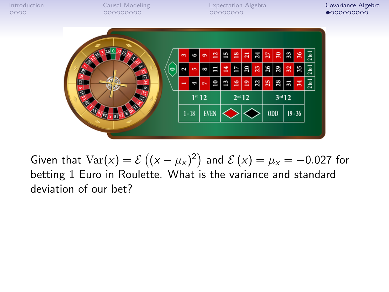<span id="page-24-0"></span>

Given that  $\text{Var}(x) = \mathcal{E}\left((x - \mu_x)^2\right)$  and  $\mathcal{E}\left(x\right) = \mu_x = -0.027$  for betting 1 Euro in Roulette. What is the variance and standard deviation of our bet?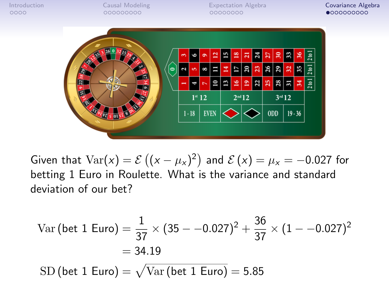

Given that  $\text{Var}(x) = \mathcal{E}\left((x - \mu_x)^2\right)$  and  $\mathcal{E}\left(x\right) = \mu_x = -0.027$  for betting 1 Euro in Roulette. What is the variance and standard deviation of our bet?

Var (bet 1 Euro) = 
$$
\frac{1}{37} \times (35 - -0.027)^2 + \frac{36}{37} \times (1 - -0.027)^2
$$
  
= 34.19  
SD (bet 1 Euro) =  $\sqrt{\text{Var}(\text{bet 1 Euro})} = 5.85$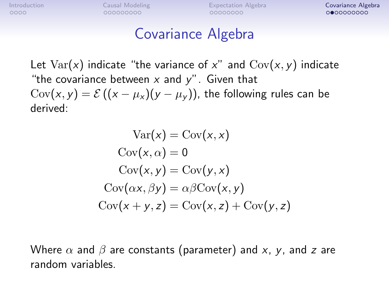### Covariance Algebra

Let  $Var(x)$  indicate "the variance of x" and  $Cov(x, y)$  indicate "the covariance between  $x$  and  $y$ ". Given that  $Cov(x, y) = \mathcal{E}((x - \mu_X)(y - \mu_V))$ , the following rules can be derived:

$$
Var(x) = Cov(x, x)
$$
  
\n
$$
Cov(x, \alpha) = 0
$$
  
\n
$$
Cov(x, y) = Cov(y, x)
$$
  
\n
$$
Cov(\alpha x, \beta y) = \alpha \beta Cov(x, y)
$$
  
\n
$$
Cov(x + y, z) = Cov(x, z) + Cov(y, z)
$$

Where  $\alpha$  and  $\beta$  are constants (parameter) and x, y, and z are random variables.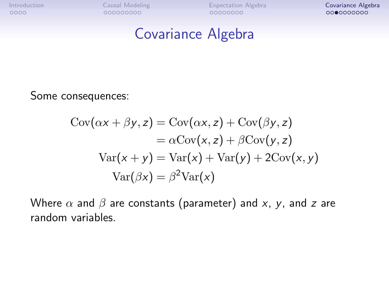#### Covariance Algebra

Some consequences:

$$
Cov(\alpha x + \beta y, z) = Cov(\alpha x, z) + Cov(\beta y, z)
$$
  
=  $\alpha Cov(x, z) + \beta Cov(y, z)$   

$$
Var(x + y) = Var(x) + Var(y) + 2Cov(x, y)
$$
  

$$
Var(\beta x) = \beta^2 Var(x)
$$

Where  $\alpha$  and  $\beta$  are constants (parameter) and x, y, and z are random variables.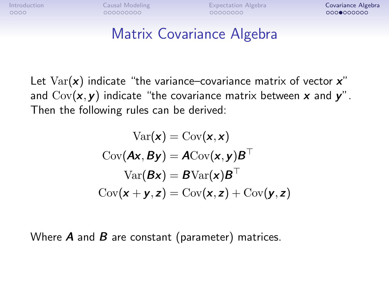## Matrix Covariance Algebra

Let  $Var(x)$  indicate "the variance–covariance matrix of vector  $x$ " and  $Cov(x, y)$  indicate "the covariance matrix between x and y". Then the following rules can be derived:

$$
\text{Var}(\mathbf{x}) = \text{Cov}(\mathbf{x}, \mathbf{x})
$$

$$
\text{Cov}(\mathbf{Ax}, \mathbf{By}) = \mathbf{A}\text{Cov}(\mathbf{x}, \mathbf{y})\mathbf{B}^{\top}
$$

$$
\text{Var}(\mathbf{B}\mathbf{x}) = \mathbf{B}\text{Var}(\mathbf{x})\mathbf{B}^{\top}
$$

$$
\text{Cov}(\mathbf{x} + \mathbf{y}, \mathbf{z}) = \text{Cov}(\mathbf{x}, \mathbf{z}) + \text{Cov}(\mathbf{y}, \mathbf{z})
$$

Where  $\bm{A}$  and  $\bm{B}$  are constant (parameter) matrices.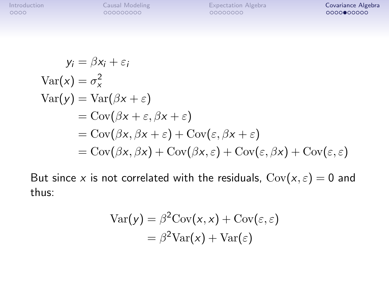$$
y_i = \beta x_i + \varepsilon_i
$$
  
\n
$$
Var(x) = \sigma_x^2
$$
  
\n
$$
Var(y) = Var(\beta x + \varepsilon)
$$
  
\n
$$
= Cov(\beta x + \varepsilon, \beta x + \varepsilon)
$$
  
\n
$$
= Cov(\beta x, \beta x + \varepsilon) + Cov(\varepsilon, \beta x + \varepsilon)
$$
  
\n
$$
= Cov(\beta x, \beta x) + Cov(\beta x, \varepsilon) + Cov(\varepsilon, \beta x) + Cov(\varepsilon, \varepsilon)
$$

But since x is not correlated with the residuals,  $Cov(x, \varepsilon) = 0$  and thus:

$$
\begin{aligned} \text{Var}(y) &= \beta^2 \text{Cov}(x, x) + \text{Cov}(\varepsilon, \varepsilon) \\ &= \beta^2 \text{Var}(x) + \text{Var}(\varepsilon) \end{aligned}
$$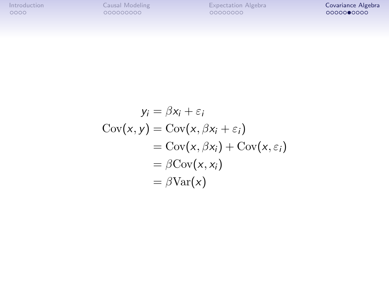$$
y_i = \beta x_i + \varepsilon_i
$$
  
\n
$$
Cov(x, y) = Cov(x, \beta x_i + \varepsilon_i)
$$
  
\n
$$
= Cov(x, \beta x_i) + Cov(x, \varepsilon_i)
$$
  
\n
$$
= \beta Cov(x, x_i)
$$
  
\n
$$
= \beta Var(x)
$$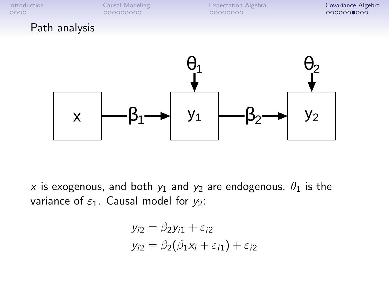#### Path analysis



x is exogenous, and both  $y_1$  and  $y_2$  are endogenous.  $\theta_1$  is the variance of  $\varepsilon_1$ . Causal model for  $y_2$ :

$$
y_{i2} = \beta_2 y_{i1} + \varepsilon_{i2}
$$
  

$$
y_{i2} = \beta_2 (\beta_1 x_i + \varepsilon_{i1}) + \varepsilon_{i2}
$$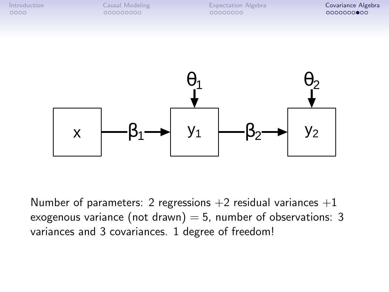

Number of parameters: 2 regressions  $+2$  residual variances  $+1$ exogenous variance (not drawn) = 5, number of observations: 3 variances and 3 covariances. 1 degree of freedom!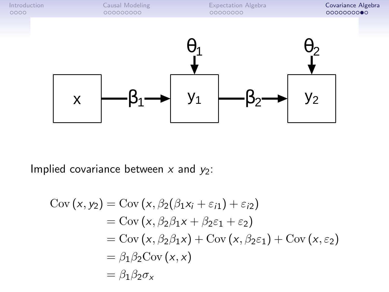

Implied covariance between  $x$  and  $y_2$ :

$$
Cov(x, y_2) = Cov(x, \beta_2(\beta_1x_i + \varepsilon_{i1}) + \varepsilon_{i2})
$$
  
= Cov(x, \beta\_2\beta\_1x + \beta\_2\varepsilon\_1 + \varepsilon\_2)  
= Cov(x, \beta\_2\beta\_1x) + Cov(x, \beta\_2\varepsilon\_1) + Cov(x, \varepsilon\_2)  
= \beta\_1\beta\_2Cov(x, x)  
= \beta\_1\beta\_2\sigma\_x